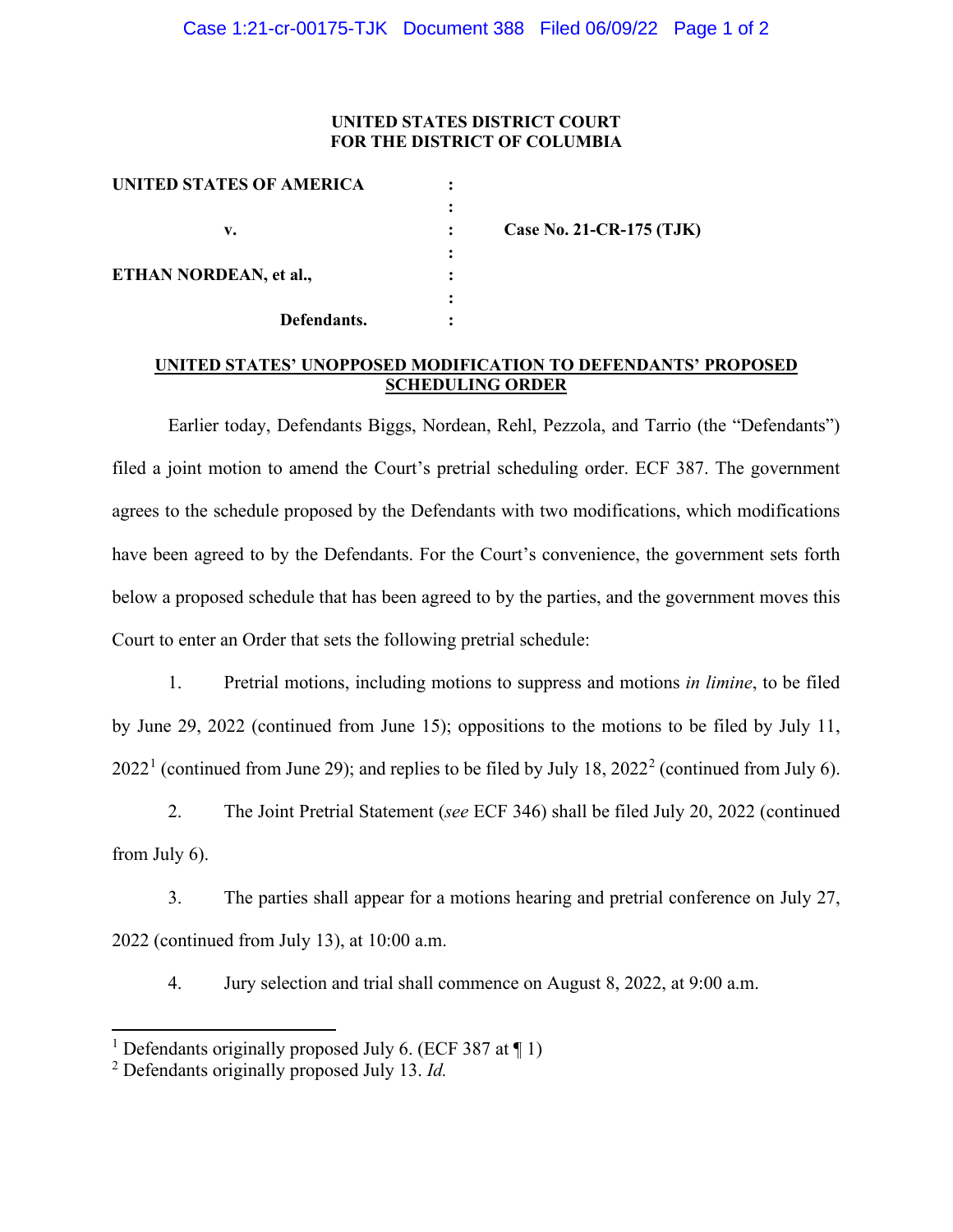## **UNITED STATES DISTRICT COURT FOR THE DISTRICT OF COLUMBIA**

| UNITED STATES OF AMERICA |                          |
|--------------------------|--------------------------|
|                          |                          |
| v.                       | Case No. 21-CR-175 (TJK) |
|                          |                          |
| ETHAN NORDEAN, et al.,   |                          |
|                          |                          |
| Defendants.              |                          |
|                          |                          |

## **UNITED STATES' UNOPPOSED MODIFICATION TO DEFENDANTS' PROPOSED SCHEDULING ORDER**

Earlier today, Defendants Biggs, Nordean, Rehl, Pezzola, and Tarrio (the "Defendants") filed a joint motion to amend the Court's pretrial scheduling order. ECF 387. The government agrees to the schedule proposed by the Defendants with two modifications, which modifications have been agreed to by the Defendants. For the Court's convenience, the government sets forth below a proposed schedule that has been agreed to by the parties, and the government moves this Court to enter an Order that sets the following pretrial schedule:

1. Pretrial motions, including motions to suppress and motions *in limine*, to be filed by June 29, 2022 (continued from June 15); oppositions to the motions to be filed by July 11,  $2022<sup>1</sup>$  $2022<sup>1</sup>$  $2022<sup>1</sup>$  (continued from June [2](#page-0-1)9); and replies to be filed by July 18, 2022<sup>2</sup> (continued from July 6).

2. The Joint Pretrial Statement (*see* ECF 346) shall be filed July 20, 2022 (continued from July 6).

3. The parties shall appear for a motions hearing and pretrial conference on July 27, 2022 (continued from July 13), at 10:00 a.m.

4. Jury selection and trial shall commence on August 8, 2022, at 9:00 a.m.

<span id="page-0-0"></span><sup>&</sup>lt;sup>1</sup> Defendants originally proposed July 6. (ECF 387 at  $\P$  1)

<span id="page-0-1"></span><sup>2</sup> Defendants originally proposed July 13. *Id.*